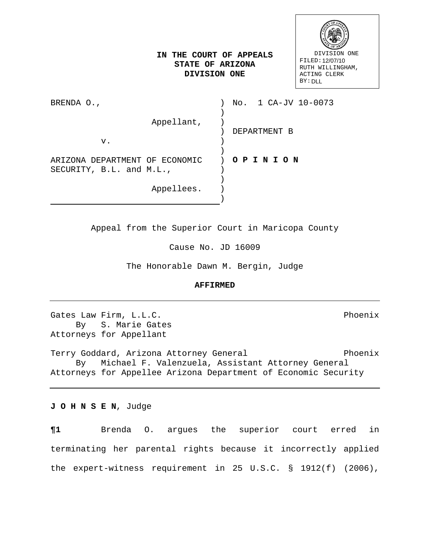| DIVISION ONE     |
|------------------|
| FILED: 12/07/10  |
| RUTH WILLINGHAM, |
| ACTING CLERK     |
| <b>BY: DLL</b>   |

# **IN THE COURT OF APPEALS STATE OF ARIZONA DIVISION ONE**

BRENDA O., Appellant, v. ARIZONA DEPARTMENT OF ECONOMIC SECURITY, B.L. and M.L., Appellees. ) No. 1 CA-JV 10-0073 ) ) ) DEPARTMENT B  $)$ ) ) **O P I N I O N**   $)$ ) ) )

Appeal from the Superior Court in Maricopa County

Cause No. JD 16009

The Honorable Dawn M. Bergin, Judge

#### **AFFIRMED**

Gates Law Firm, L.L.C.<br>By S. Marie Gates S. Marie Gates Attorneys for Appellant

Terry Goddard, Arizona Attorney General Phoenix By Michael F. Valenzuela, Assistant Attorney General Attorneys for Appellee Arizona Department of Economic Security

**J O H N S E N**, Judge

**¶1** Brenda O. argues the superior court erred in terminating her parental rights because it incorrectly applied the expert-witness requirement in 25 U.S.C. § 1912(f) (2006),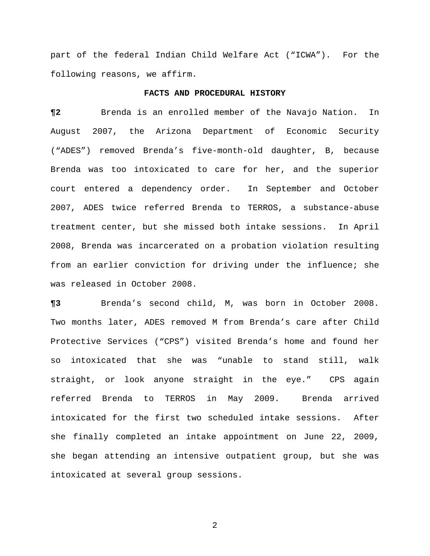part of the federal Indian Child Welfare Act ("ICWA"). For the following reasons, we affirm.

### **FACTS AND PROCEDURAL HISTORY**

**¶2** Brenda is an enrolled member of the Navajo Nation. In August 2007, the Arizona Department of Economic Security ("ADES") removed Brenda's five-month-old daughter, B, because Brenda was too intoxicated to care for her, and the superior court entered a dependency order. In September and October 2007, ADES twice referred Brenda to TERROS, a substance-abuse treatment center, but she missed both intake sessions. In April 2008, Brenda was incarcerated on a probation violation resulting from an earlier conviction for driving under the influence; she was released in October 2008.

**¶3** Brenda's second child, M, was born in October 2008. Two months later, ADES removed M from Brenda's care after Child Protective Services ("CPS") visited Brenda's home and found her so intoxicated that she was "unable to stand still, walk straight, or look anyone straight in the eye." CPS again referred Brenda to TERROS in May 2009. Brenda arrived intoxicated for the first two scheduled intake sessions. After she finally completed an intake appointment on June 22, 2009, she began attending an intensive outpatient group, but she was intoxicated at several group sessions.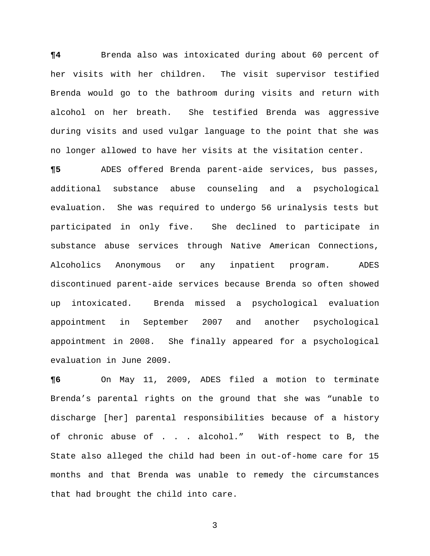**¶4** Brenda also was intoxicated during about 60 percent of her visits with her children. The visit supervisor testified Brenda would go to the bathroom during visits and return with alcohol on her breath. She testified Brenda was aggressive during visits and used vulgar language to the point that she was no longer allowed to have her visits at the visitation center.

**¶5** ADES offered Brenda parent-aide services, bus passes, additional substance abuse counseling and a psychological evaluation. She was required to undergo 56 urinalysis tests but participated in only five. She declined to participate in substance abuse services through Native American Connections, Alcoholics Anonymous or any inpatient program. ADES discontinued parent-aide services because Brenda so often showed up intoxicated. Brenda missed a psychological evaluation appointment in September 2007 and another psychological appointment in 2008. She finally appeared for a psychological evaluation in June 2009.

**¶6** On May 11, 2009, ADES filed a motion to terminate Brenda's parental rights on the ground that she was "unable to discharge [her] parental responsibilities because of a history of chronic abuse of . . . alcohol." With respect to B, the State also alleged the child had been in out-of-home care for 15 months and that Brenda was unable to remedy the circumstances that had brought the child into care.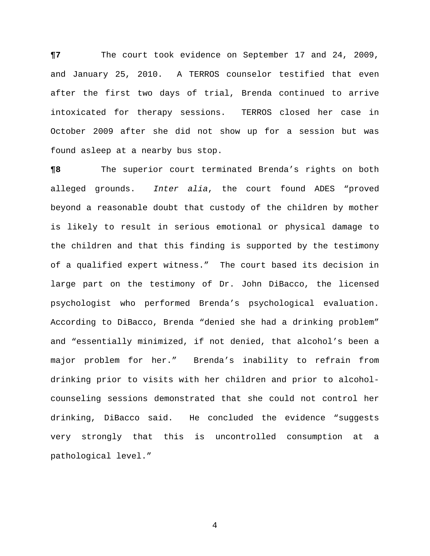**¶7** The court took evidence on September 17 and 24, 2009, and January 25, 2010. A TERROS counselor testified that even after the first two days of trial, Brenda continued to arrive intoxicated for therapy sessions. TERROS closed her case in October 2009 after she did not show up for a session but was found asleep at a nearby bus stop.

**¶8** The superior court terminated Brenda's rights on both alleged grounds. *Inter alia*, the court found ADES "proved beyond a reasonable doubt that custody of the children by mother is likely to result in serious emotional or physical damage to the children and that this finding is supported by the testimony of a qualified expert witness." The court based its decision in large part on the testimony of Dr. John DiBacco, the licensed psychologist who performed Brenda's psychological evaluation. According to DiBacco, Brenda "denied she had a drinking problem" and "essentially minimized, if not denied, that alcohol's been a major problem for her." Brenda's inability to refrain from drinking prior to visits with her children and prior to alcoholcounseling sessions demonstrated that she could not control her drinking, DiBacco said. He concluded the evidence "suggests very strongly that this is uncontrolled consumption at a pathological level."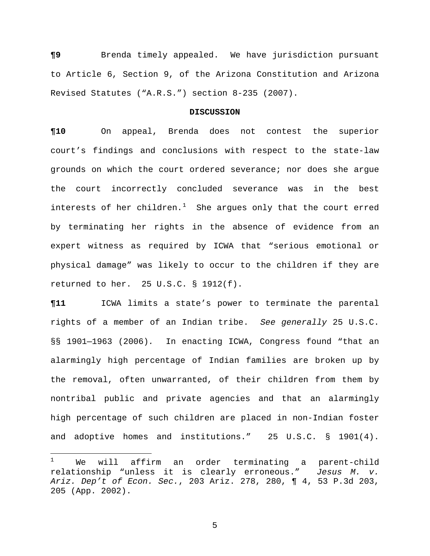**¶9** Brenda timely appealed. We have jurisdiction pursuant to Article 6, Section 9, of the Arizona Constitution and Arizona Revised Statutes ("A.R.S.") section 8-235 (2007).

## **DISCUSSION**

**¶10** On appeal, Brenda does not contest the superior court's findings and conclusions with respect to the state-law grounds on which the court ordered severance; nor does she argue the court incorrectly concluded severance was in the best interests of her children. $^1$  $^1$  She argues only that the court erred by terminating her rights in the absence of evidence from an expert witness as required by ICWA that "serious emotional or physical damage" was likely to occur to the children if they are returned to her. 25 U.S.C. § 1912(f).

**¶11** ICWA limits a state's power to terminate the parental rights of a member of an Indian tribe. *See generally* 25 U.S.C. §§ 1901—1963 (2006)*.* In enacting ICWA, Congress found "that an alarmingly high percentage of Indian families are broken up by the removal, often unwarranted, of their children from them by nontribal public and private agencies and that an alarmingly high percentage of such children are placed in non-Indian foster and adoptive homes and institutions." 25 U.S.C. § 1901(4).

 $\overline{a}$ 

<span id="page-4-0"></span>We will affirm an order terminating a parent-child relationship "unless it is clearly erroneous." *Jesus M. v. Ariz. Dep't of Econ. Sec.*, 203 Ariz. 278, 280, ¶ 4, 53 P.3d 203, 205 (App. 2002).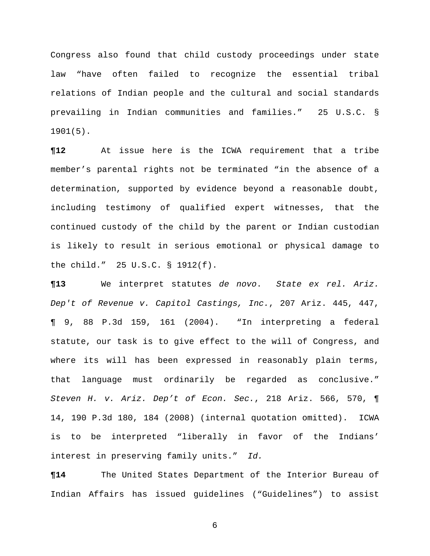Congress also found that child custody proceedings under state law "have often failed to recognize the essential tribal relations of Indian people and the cultural and social standards prevailing in Indian communities and families." 25 U.S.C. § 1901(5).

**¶12** At issue here is the ICWA requirement that a tribe member's parental rights not be terminated "in the absence of a determination, supported by evidence beyond a reasonable doubt, including testimony of qualified expert witnesses, that the continued custody of the child by the parent or Indian custodian is likely to result in serious emotional or physical damage to the child." 25 U.S.C. § 1912(f).

**¶13** We interpret statutes *de novo*. *State ex rel. Ariz. Dep't of Revenue v. Capitol Castings, Inc.*, 207 Ariz. 445, 447, ¶ 9, 88 P.3d 159, 161 (2004). "In interpreting a federal statute, our task is to give effect to the will of Congress, and where its will has been expressed in reasonably plain terms, that language must ordinarily be regarded as conclusive." *Steven H. v. Ariz. Dep't of Econ. Sec.*, 218 Ariz. 566, 570, ¶ 14, 190 P.3d 180, 184 (2008) (internal quotation omitted). ICWA is to be interpreted "liberally in favor of the Indians' interest in preserving family units." *Id.*

**¶14** The United States Department of the Interior Bureau of Indian Affairs has issued guidelines ("Guidelines") to assist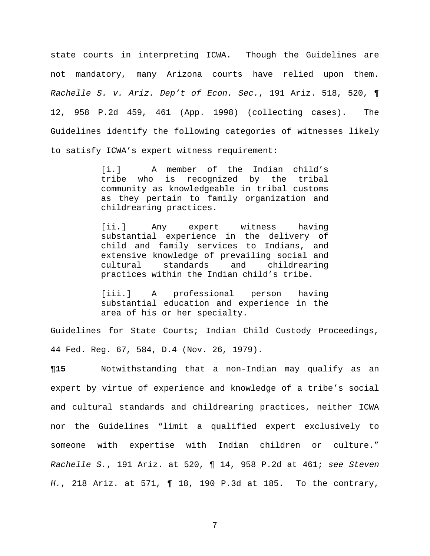state courts in interpreting ICWA. Though the Guidelines are not mandatory, many Arizona courts have relied upon them. *Rachelle S. v. Ariz. Dep't of Econ. Sec.*, 191 Ariz. 518, 520, ¶ 12, 958 P.2d 459, 461 (App. 1998) (collecting cases). The Guidelines identify the following categories of witnesses likely to satisfy ICWA's expert witness requirement:

> [i.] A member of the Indian child's tribe who is recognized by the tribal community as knowledgeable in tribal customs as they pertain to family organization and childrearing practices.

> [ii.] Any expert witness having substantial experience in the delivery of child and family services to Indians, and extensive knowledge of prevailing social and<br>cultural standards and childrearing cultural standards and childrearing practices within the Indian child's tribe.

> [iii.] A professional person having substantial education and experience in the area of his or her specialty.

Guidelines for State Courts; Indian Child Custody Proceedings, 44 Fed. Reg. 67, 584, D.4 (Nov. 26, 1979).

**¶15** Notwithstanding that a non-Indian may qualify as an expert by virtue of experience and knowledge of a tribe's social and cultural standards and childrearing practices, neither ICWA nor the Guidelines "limit a qualified expert exclusively to someone with expertise with Indian children or culture." *Rachelle S.*, 191 Ariz. at 520, ¶ 14, 958 P.2d at 461; *see Steven H.*, 218 Ariz. at 571, ¶ 18, 190 P.3d at 185. To the contrary,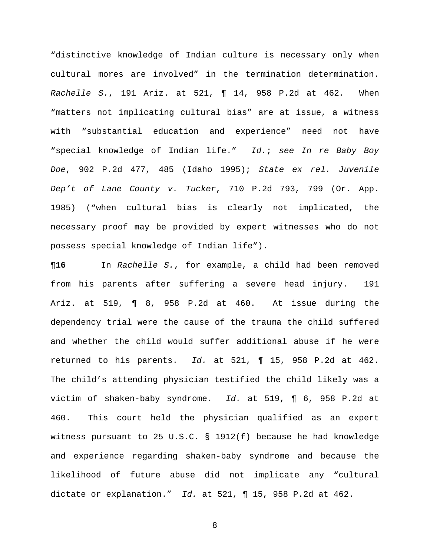"distinctive knowledge of Indian culture is necessary only when cultural mores are involved" in the termination determination. *Rachelle S.*, 191 Ariz. at 521, ¶ 14, 958 P.2d at 462*.* When "matters not implicating cultural bias" are at issue, a witness with "substantial education and experience" need not have "special knowledge of Indian life." *Id.*; *see In re Baby Boy Doe*, 902 P.2d 477, 485 (Idaho 1995); *State ex rel. Juvenile Dep't of Lane County v. Tucker*, 710 P.2d 793, 799 (Or. App. 1985) ("when cultural bias is clearly not implicated, the necessary proof may be provided by expert witnesses who do not possess special knowledge of Indian life").

**¶16** In *Rachelle S.*, for example, a child had been removed from his parents after suffering a severe head injury. 191 Ariz. at 519, ¶ 8, 958 P.2d at 460. At issue during the dependency trial were the cause of the trauma the child suffered and whether the child would suffer additional abuse if he were returned to his parents. *Id.* at 521, ¶ 15, 958 P.2d at 462. The child's attending physician testified the child likely was a victim of shaken-baby syndrome. *Id.* at 519, ¶ 6, 958 P.2d at 460.This court held the physician qualified as an expert witness pursuant to 25 U.S.C. § 1912(f) because he had knowledge and experience regarding shaken-baby syndrome and because the likelihood of future abuse did not implicate any "cultural dictate or explanation." *Id.* at 521, ¶ 15, 958 P.2d at 462.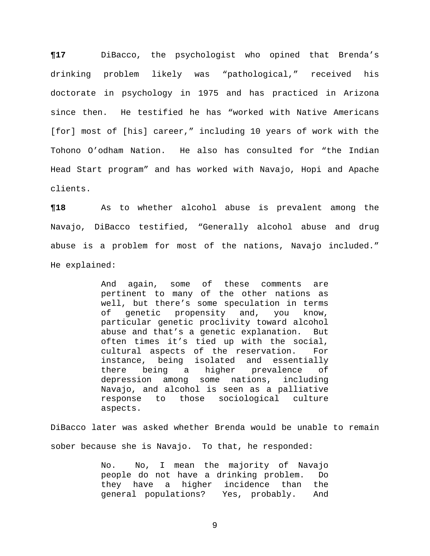**¶17** DiBacco, the psychologist who opined that Brenda's drinking problem likely was "pathological," received his doctorate in psychology in 1975 and has practiced in Arizona since then. He testified he has "worked with Native Americans [for] most of [his] career," including 10 years of work with the Tohono O'odham Nation. He also has consulted for "the Indian Head Start program" and has worked with Navajo, Hopi and Apache clients.

**¶18** As to whether alcohol abuse is prevalent among the Navajo, DiBacco testified, "Generally alcohol abuse and drug abuse is a problem for most of the nations, Navajo included." He explained:

> And again, some of these comments are pertinent to many of the other nations as well, but there's some speculation in terms of genetic propensity and, you know, particular genetic proclivity toward alcohol abuse and that's a genetic explanation. But often times it's tied up with the social, cultural aspects of the reservation. For instance, being isolated and essentially<br>there being a higher prevalence of being a higher depression among some nations, including Navajo, and alcohol is seen as a palliative response to those sociological culture aspects.

DiBacco later was asked whether Brenda would be unable to remain sober because she is Navajo. To that, he responded:

> No. No, I mean the majority of Navajo<br>people do not have a drinking problem. Do people do not have a drinking problem. they have a higher incidence than the general populations? Yes, probably. And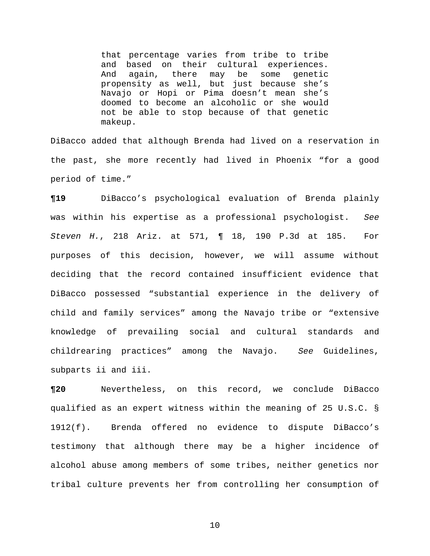that percentage varies from tribe to tribe and based on their cultural experiences. And again, there may be some genetic propensity as well, but just because she's Navajo or Hopi or Pima doesn't mean she's doomed to become an alcoholic or she would not be able to stop because of that genetic makeup.

DiBacco added that although Brenda had lived on a reservation in the past, she more recently had lived in Phoenix "for a good period of time."

**¶19** DiBacco's psychological evaluation of Brenda plainly was within his expertise as a professional psychologist. *See Steven H.*, 218 Ariz. at 571, ¶ 18, 190 P.3d at 185. For purposes of this decision, however, we will assume without deciding that the record contained insufficient evidence that DiBacco possessed "substantial experience in the delivery of child and family services" among the Navajo tribe or "extensive knowledge of prevailing social and cultural standards and childrearing practices" among the Navajo. *See* Guidelines, subparts ii and iii.

**¶20** Nevertheless, on this record, we conclude DiBacco qualified as an expert witness within the meaning of 25 U.S.C. § 1912(f). Brenda offered no evidence to dispute DiBacco's testimony that although there may be a higher incidence of alcohol abuse among members of some tribes, neither genetics nor tribal culture prevents her from controlling her consumption of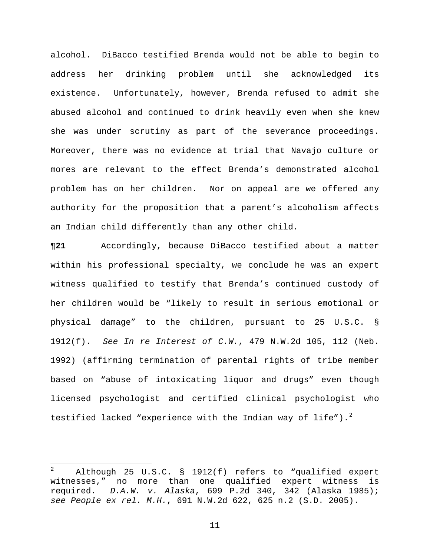alcohol. DiBacco testified Brenda would not be able to begin to address her drinking problem until she acknowledged its existence. Unfortunately, however, Brenda refused to admit she abused alcohol and continued to drink heavily even when she knew she was under scrutiny as part of the severance proceedings. Moreover, there was no evidence at trial that Navajo culture or mores are relevant to the effect Brenda's demonstrated alcohol problem has on her children. Nor on appeal are we offered any authority for the proposition that a parent's alcoholism affects an Indian child differently than any other child.

**¶21** Accordingly, because DiBacco testified about a matter within his professional specialty, we conclude he was an expert witness qualified to testify that Brenda's continued custody of her children would be "likely to result in serious emotional or physical damage" to the children, pursuant to 25 U.S.C. § 1912(f). *See In re Interest of C.W.*, 479 N.W.2d 105, 112 (Neb. 1992) (affirming termination of parental rights of tribe member based on "abuse of intoxicating liquor and drugs" even though licensed psychologist and certified clinical psychologist who testified lacked "experience with the Indian way of life"). $^2$  $^2$ 

<span id="page-10-0"></span> $\overline{a}$ <sup>2</sup> Although 25 U.S.C. § 1912(f) refers to "qualified expert witnesses," no more than one qualified expert witness is required. *D.A.W. v. Alaska*, 699 P.2d 340, 342 (Alaska 1985); *see People ex rel. M.H.*, 691 N.W.2d 622, 625 n.2 (S.D. 2005).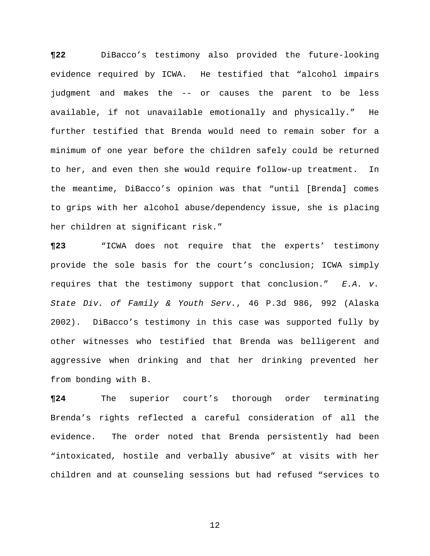**¶22** DiBacco's testimony also provided the future-looking evidence required by ICWA. He testified that "alcohol impairs judgment and makes the -- or causes the parent to be less available, if not unavailable emotionally and physically." He further testified that Brenda would need to remain sober for a minimum of one year before the children safely could be returned to her, and even then she would require follow-up treatment. In the meantime, DiBacco's opinion was that "until [Brenda] comes to grips with her alcohol abuse/dependency issue, she is placing her children at significant risk."

**¶23** "ICWA does not require that the experts' testimony provide the sole basis for the court's conclusion; ICWA simply requires that the testimony support that conclusion." *E.A. v. State Div. of Family & Youth Serv.*, 46 P.3d 986, 992 (Alaska 2002). DiBacco's testimony in this case was supported fully by other witnesses who testified that Brenda was belligerent and aggressive when drinking and that her drinking prevented her from bonding with B.

**¶24** The superior court's thorough order terminating Brenda's rights reflected a careful consideration of all the evidence. The order noted that Brenda persistently had been "intoxicated, hostile and verbally abusive" at visits with her children and at counseling sessions but had refused "services to